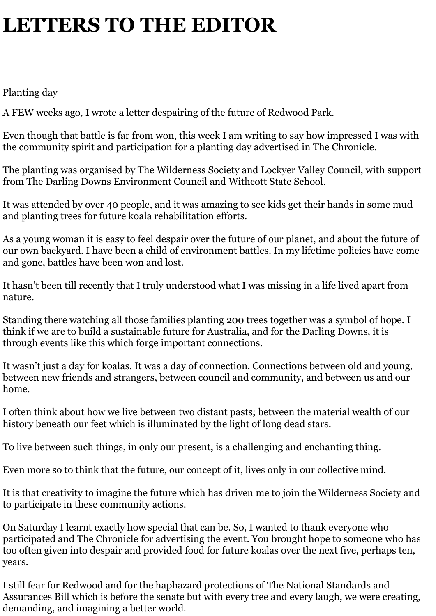## **LETTERS TO THE EDITOR**

Planting day

A FEW weeks ago, I wrote a letter despairing of the future of Redwood Park.

Even though that battle is far from won, this week I am writing to say how impressed I was with the community spirit and participation for a planting day advertised in The Chronicle.

The planting was organised by The Wilderness Society and Lockyer Valley Council, with support from The Darling Downs Environment Council and Withcott State School.

It was attended by over 40 people, and it was amazing to see kids get their hands in some mud and planting trees for future koala rehabilitation efforts.

As a young woman it is easy to feel despair over the future of our planet, and about the future of our own backyard. I have been a child of environment battles. In my lifetime policies have come and gone, battles have been won and lost.

It hasn't been till recently that I truly understood what I was missing in a life lived apart from nature.

Standing there watching all those families planting 200 trees together was a symbol of hope. I think if we are to build a sustainable future for Australia, and for the Darling Downs, it is through events like this which forge important connections.

It wasn't just a day for koalas. It was a day of connection. Connections between old and young, between new friends and strangers, between council and community, and between us and our home.

I often think about how we live between two distant pasts; between the material wealth of our history beneath our feet which is illuminated by the light of long dead stars.

To live between such things, in only our present, is a challenging and enchanting thing.

Even more so to think that the future, our concept of it, lives only in our collective mind.

It is that creativity to imagine the future which has driven me to join the Wilderness Society and to participate in these community actions.

On Saturday I learnt exactly how special that can be. So, I wanted to thank everyone who participated and The Chronicle for advertising the event. You brought hope to someone who has too often given into despair and provided food for future koalas over the next five, perhaps ten, years.

I still fear for Redwood and for the haphazard protections of The National Standards and Assurances Bill which is before the senate but with every tree and every laugh, we were creating, demanding, and imagining a better world.